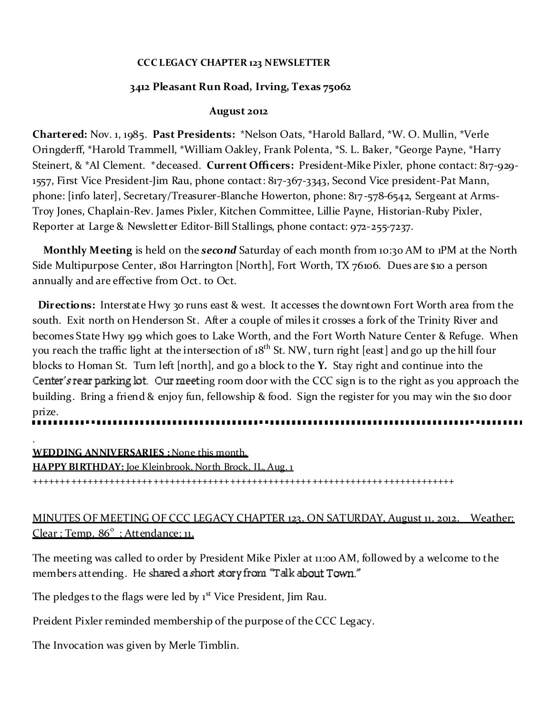# **CCC LEGACY CHAPTER 123 NEWSLETTER**

# **3412 Pleasant Run Road, Irving, Texas 75062**

# **August 2012**

**Chartered:** Nov. 1, 1985. **Past Presidents:** \*Nelson Oats, \*Harold Ballard, \*W. O. Mullin, \*Verle Oringderff, \*Harold Trammell, \*William Oakley, Frank Polenta, \*S. L. Baker, \*George Payne, \*Harry Steinert, & \*Al Clement. \*deceased. **Current Officers:** President-Mike Pixler, phone contact: 817-929- 1557, First Vice President-Jim Rau, phone contact: 817-367-3343, Second Vice president-Pat Mann, phone: [info later], Secretary/Treasurer-Blanche Howerton, phone: 817-578-6542, Sergeant at Arms-Troy Jones, Chaplain-Rev. James Pixler, Kitchen Committee, Lillie Payne, Historian-Ruby Pixler, Reporter at Large & Newsletter Editor-Bill Stallings, phone contact: 972-255-7237.

**Monthly Meeting** is held on the *second* Saturday of each month from 10:30 AM to 1PM at the North Side Multipurpose Center, 1801 Harrington [North], Fort Worth, TX 76106. Dues are \$10 a person annually and are effective from Oct. to Oct.

**Directions:** Interstate Hwy 30 runs east & west. It accesses the downtown Fort Worth area from the south. Exit north on Henderson St. After a couple of miles it crosses a fork of the Trinity River and becomes State Hwy 199 which goes to Lake Worth, and the Fort Worth Nature Center & Refuge. When you reach the traffic light at the intersection of 18<sup>th</sup> St. NW, turn right [east] and go up the hill four blocks to Homan St. Turn left [north], and go a block to the **Y.** Stay right and continue into the Center's rear parking  $\cot$ . Our meeting room door with the CCC sign is to the right as you approach the building. Bring a friend & enjoy fun, fellowship & food. Sign the register for you may win the \$10 door prize.

.

**WEDDING ANNIVERSARIES :** None this month. **HAPPY BIRTHDAY:** Joe Kleinbrook, North Brock, IL, Aug. 1 +++++++++++++++++++++++++++++++++++++++++++++++++++++++++++++++++++++++++++++

# MINUTES OF MEETING OF CCC LEGACY CHAPTER 123, ON SATURDAY, August 11, 2012, Weather: Clear : Temp. 86<sup>°</sup> : Attendance: 11.

The meeting was called to order by President Mike Pixler at 11:00 AM, followed by a welcome to the members attending. He shared a short story from "Talk about Town."

The pledges to the flags were led by 1<sup>st</sup> Vice President, Jim Rau.

Preident Pixler reminded membership of the purpose of the CCC Legacy.

The Invocation was given by Merle Timblin.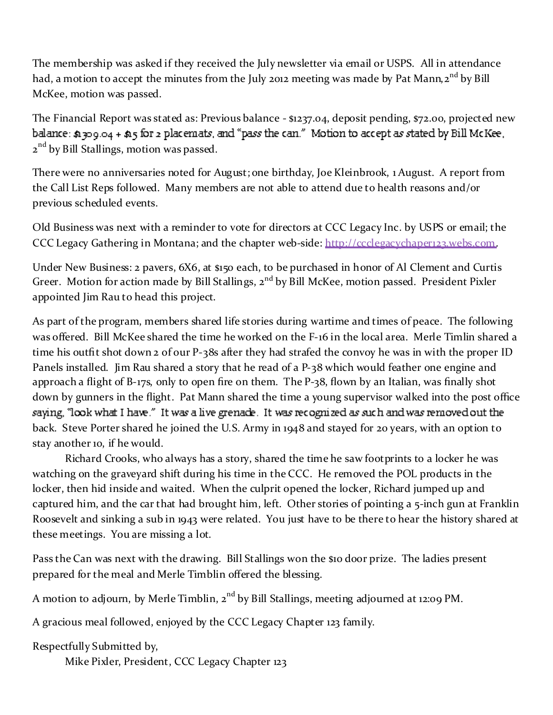The membership was asked if they received the July newsletter via email or USPS. All in attendance had, a motion to accept the minutes from the July 2012 meeting was made by Pat Mann,  $2^{nd}$  by Bill McKee, motion was passed.

The Financial Report was stated as: Previous balance - \$1237.04, deposit pending, \$72.00, projected new balance:  $\alpha$  309.04 +  $\alpha$ 5 for 2 placemats, and "pass the can." Motion to accept as stated by Bill McKee, 2<sup>nd</sup> by Bill Stallings, motion was passed.

There were no anniversaries noted for August; one birthday, Joe Kleinbrook, 1 August. A report from the Call List Reps followed. Many members are not able to attend due to health reasons and/or previous scheduled events.

Old Business was next with a reminder to vote for directors at CCC Legacy Inc. by USPS or email; the CCC Legacy Gathering in Montana; and the chapter web-side: http://ccclegacychaper123,webs.com.

Under New Business: 2 pavers, 6X6, at \$150 each, to be purchased in honor of Al Clement and Curtis Greer. Motion for action made by Bill Stallings, 2<sup>nd</sup> by Bill McKee, motion passed. President Pixler appointed Jim Rau to head this project.

As part of the program, members shared life stories during wartime and times of peace. The following was offered. Bill McKee shared the time he worked on the F-16 in the local area. Merle Timlin shared a time his outfit shot down 2 of our P-38s after they had strafed the convoy he was in with the proper ID Panels installed. Jim Rau shared a story that he read of a P-38 which would feather one engine and approach a flight of B-17s, only to open fire on them. The P-38, flown by an Italian, was finally shot down by gunners in the flight. Pat Mann shared the time a young supervisor walked into the post office saying, "look what I have." It was a live grenade. It was recognized as such and was removed out the back. Steve Porter shared he joined the U.S. Army in 1948 and stayed for 20 years, with an option to stay another 10, if he would.

Richard Crooks, who always has a story, shared the time he saw footprints to a locker he was watching on the graveyard shift during his time in the CCC. He removed the POL products in the locker, then hid inside and waited. When the culprit opened the locker, Richard jumped up and captured him, and the car that had brought him, left. Other stories of pointing a 5-inch gun at Franklin Roosevelt and sinking a sub in 1943 were related. You just have to be there to hear the history shared at these meetings. You are missing a lot.

Pass the Can was next with the drawing. Bill Stallings won the \$10 door prize. The ladies present prepared for the meal and Merle Timblin offered the blessing.

A motion to adjourn, by Merle Timblin,  $2<sup>nd</sup>$  by Bill Stallings, meeting adjourned at 12:09 PM.

A gracious meal followed, enjoyed by the CCC Legacy Chapter 123 family.

Respectfully Submitted by,

Mike Pixler, President, CCC Legacy Chapter 123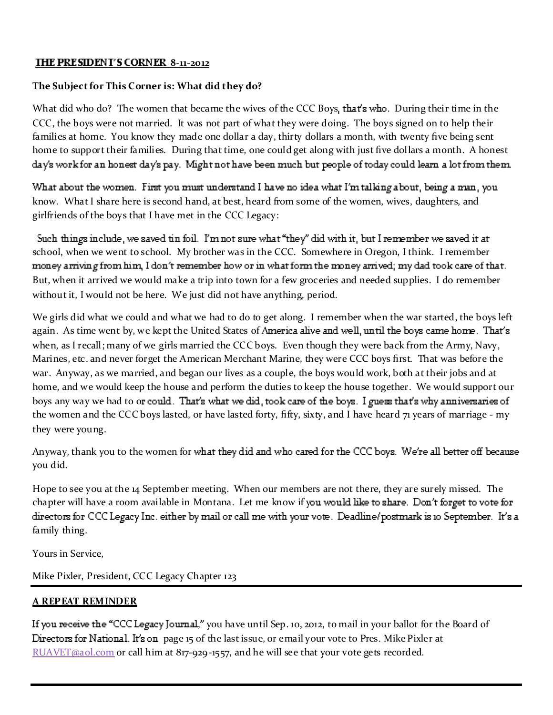# **THE PRESIDENT'S CORNER 8-11-2012**

#### **The Sub ject for This Corner is: What did they do?**

What did who do? The women that became the wives of the CCC Boys, that's who. During their time in the CCC, the boys were not married. It was not part of what they were doing. The boys signed on to help their families at home. You know they made one dollar a day, thirty dollars a month, with twenty five being sent home to support their families. During that time, one could get along with just five dollars a month. A honest  $day$ s work for an honest da $\gamma$ s pa $\gamma$ . Might not have been much but people of today could learn a lot from them.

What about the women. First you must understand I have no idea what I'm talking about, being a man, you know. What I share here is second hand, at best, heard from some of the women, wives, daughters, and girlfriends of the boys that I have met in the CCC Legacy:

Such things include, we saved tin foil. I'm not sure what "they" did with it, but I remember we saved it at school, when we went to school. My brother was in the CCC. Somewhere in Oregon, I think. I remember money arriving from him, I don't remember how or in what form the money arrived; my dad took care of that. But, when it arrived we would make a trip into town for a few groceries and needed supplies. I do remember without it, I would not be here. We just did not have anything, period.

We girls did what we could and what we had to do to get along. I remember when the war started, the boys left again. As time went by, we kept the United States of America alive and well, until the boys came home. That's when, as I recall; many of we girls married the CCC boys. Even though they were back from the Army, Navy, Marines, etc. and never forget the American Merchant Marine, they were CCC boys first. That was before the war. Anyway, as we married, and began our lives as a couple, the boys would work, both at their jobs and at home, and we would keep the house and perform the duties to keep the house together. We would support our boys any way we had to or could. That's what we did, took care of the boys. I guess that's why anniversaries of the women and the CCC boys lasted, or have lasted forty, fifty, sixty, and I have heard 71 years of marriage - my they were young.

Anyway, thank you to the women for what they did and who cared for the CCC boys. We're all better off because you did.

Hope to see you at the 14 September meeting. When our members are not there, they are surely missed. The chapter will have a room available in Montana. Let me know if you would like to share. Don't forget to vote for directors for CCC Legacy Inc. either by mail or call me with your vote. Deadline/postmark is 10 September. It's a family thing.

Yours in Service,

Mike Pixler, President, CCC Legacy Chapter 123

# **A REPEAT REMINDER**

If you receive the "CCC Legacy Journal," you have until Sep. 10, 2012, to mail in your ballot for the Board of Directors for National. It's on page 15 of the last issue, or email your vote to Pres. Mike Pixler at  $RUAVET@aol.com$  or call him at  $817-929-1557$ , and he will see that your vote gets recorded.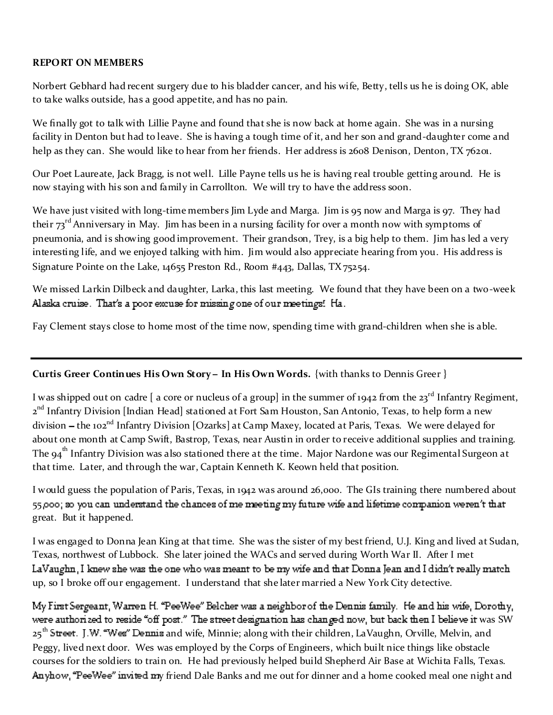# **REPORT ON MEMBERS**

Norbert Gebhard had recent surgery due to his bladder cancer, and his wife, Betty, tells us he is doing OK, able to take walks outside, has a good appetite, and has no pain.

We finally got to talk with Lillie Payne and found that she is now back at home again. She was in a nursing facility in Denton but had to leave. She is having a tough time of it, and her son and grand-daughter come and help as they can. She would like to hear from her friends. Her address is 2608 Denison, Denton, TX 76201.

Our Poet Laureate, Jack Bragg, is not well. Lille Payne tells us he is having real trouble getting around. He is now staying with his son and family in Carrollton. We will try to have the address soon.

We have just visited with long-time members Jim Lyde and Marga. Jim is 95 now and Marga is 97. They had their 73<sup>rd</sup> Anniversary in May. Jim has been in a nursing facility for over a month now with symptoms of pneumonia, and is showing good improvement. Their grandson, Trey, is a big help to them. Jim has led a very interesting life, and we enjoyed talking with him. Jim would also appreciate hearing from you. His address is Signature Pointe on the Lake, 14655 Preston Rd., Room #443, Dallas, TX 75254.

We missed Larkin Dilbeck and daughter, Larka, this last meeting. We found that they have been on a two-week Alaska cruise. That's a poor excuse for missing one of our meetings! Ha.

Fay Clement stays close to home most of the time now, spending time with grand-children when she is able.

# **Curtis Greer Continues His Own Story In His Own Words.** {with thanks to Dennis Greer }

I was shipped out on cadre  $\lceil$  a core or nucleus of a group] in the summer of 1942 from the 23<sup>rd</sup> Infantry Regiment, 2<sup>nd</sup> Infantry Division [Indian Head] stationed at Fort Sam Houston, San Antonio, Texas, to help form a new division - the 102<sup>nd</sup> Infantry Division [Ozarks] at Camp Maxey, located at Paris, Texas. We were delayed for about one month at Camp Swift, Bastrop, Texas, near Austin in order to receive additional supplies and training. The  $94<sup>th</sup>$  Infantry Division was also stationed there at the time. Major Nardone was our Regimental Surgeon at that time. Later, and through the war, Captain Kenneth K. Keown held that position.

I would guess the population of Paris, Texas, in 1942 was around 26,000. The GIs training there numbered about 55,000; so you can understand the chances of me meeting my future wife and lifetime companion weren't that great. But it happened.

I was engaged to Donna Jean King at that time. She was the sister of my best friend, U.J. King and lived at Sudan, Texas, northwest of Lubbock. She later joined the WACs and served during Worth War II. After I met LaVaughn, I knew she was the one who was meant to be my wife and that Donna Jean and I didn't really match up, so I broke off our engagement. I understand that she later married a New York City detective.

My First Sergeant, Warren H. "PeeWee" Belcher was a neighbor of the Dennis family. He and his wife, Dorothy, were authorized to reside "off post." The street designation has changed now, but back then I believe it was SW 25<sup>th</sup> Street. J.W. "Wes" Dennis and wife, Minnie; along with their children, LaVaughn, Orville, Melvin, and Peggy, lived next door. Wes was employed by the Corps of Engineers, which built nice things like obstacle courses for the soldiers to train on. He had previously helped build Shepherd Air Base at Wichita Falls, Texas. Anyhow, "PeeWee" invited my friend Dale Banks and me out for dinner and a home cooked meal one night and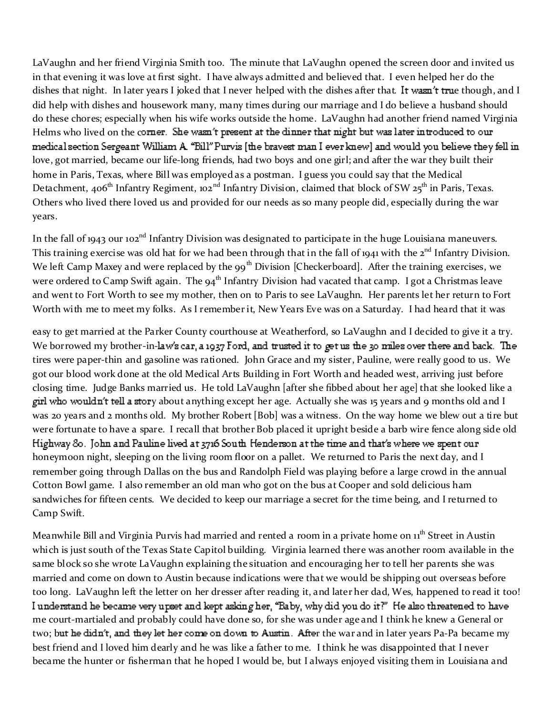LaVaughn and her friend Virginia Smith too. The minute that LaVaughn opened the screen door and invited us in that evening it was love at first sight. I have always admitted and believed that. I even helped her do the dishes that night. In later years I joked that I never helped with the dishes after that. It wasn't true though, and I did help with dishes and housework many, many times during our marriage and I do believe a husband should do these chores; especially when his wife works outside the home. LaVaughn had another friend named Virginia Helms who lived on the corner. She wasn't present at the dinner that night but was later introduced to our medical section Sergeant William A. "Bill" Purvis [the bravest man I ever knew] and would you believe they fell in love, got married, became our life-long friends, had two boys and one girl; and after the war they built their home in Paris, Texas, where Bill was employed as a postman. I guess you could say that the Medical Detachment, 406<sup>th</sup> Infantry Regiment, 102<sup>nd</sup> Infantry Division, claimed that block of SW 25<sup>th</sup> in Paris, Texas. Others who lived there loved us and provided for our needs as so many people did, especially during the war years.

In the fall of 1943 our 102<sup>nd</sup> Infantry Division was designated to participate in the huge Louisiana maneuvers. This training exercise was old hat for we had been through that in the fall of 1941 with the 2<sup>nd</sup> Infantry Division. We left Camp Maxey and were replaced by the 99<sup>th</sup> Division [Checkerboard]. After the training exercises, we were ordered to Camp Swift again. The 94<sup>th</sup> Infantry Division had vacated that camp. I got a Christmas leave and went to Fort Worth to see my mother, then on to Paris to see LaVaughn. Her parents let her return to Fort Worth with me to meet my folks. As I remember it, New Years Eve was on a Saturday. I had heard that it was

easy to get married at the Parker County courthouse at Weatherford, so LaVaughn and I decided to give it a try. We borrowed my brother-in-law's car, a 1937 Ford, and trusted it to get us the 30 miles over there and back. The tires were paper-thin and gasoline was rationed. John Grace and my sister, Pauline, were really good to us. We got our blood work done at the old Medical Arts Building in Fort Worth and headed west, arriving just before closing time. Judge Banks married us. He told LaVaughn [after she fibbed about her age] that she looked like a girl who wouldn't tell a story about anything except her age. Actually she was 15 years and 9 months old and I was 20 years and 2 months old. My brother Robert [Bob] was a witness. On the way home we blew out a tire but were fortunate to have a spare. I recall that brother Bob placed it upright beside a barb wire fence along side old Highway 80. John and Pauline lived at 3716 South Henderson at the time and that's where we spent our honeymoon night, sleeping on the living room floor on a pallet. We returned to Paris the next day, and I remember going through Dallas on the bus and Randolph Field was playing before a large crowd in the annual Cotton Bowl game. I also remember an old man who got on the bus at Cooper and sold delicious ham sandwiches for fifteen cents. We decided to keep our marriage a secret for the time being, and I returned to Camp Swift.

Meanwhile Bill and Virginia Purvis had married and rented a room in a private home on 11<sup>th</sup> Street in Austin which is just south of the Texas State Capitol building. Virginia learned there was another room available in the same block so she wrote LaVaughn explaining the situation and encouraging her to tell her parents she was married and come on down to Austin because indications were that we would be shipping out overseas before too long. LaVaughn left the letter on her dresser after reading it, and later her dad, Wes, happened to read it too! I understand he became very upset and kept asking her, "Baby, why did you do it?" He also threatened to have me court-martialed and probably could have done so, for she was under age and I think he knew a General or two; but he didn't, and they let her come on down to Austin. After the war and in later years Pa-Pa became my best friend and I loved him dearly and he was like a father to me. I think he was disappointed that I never became the hunter or fisherman that he hoped I would be, but I always enjoyed visiting them in Louisiana and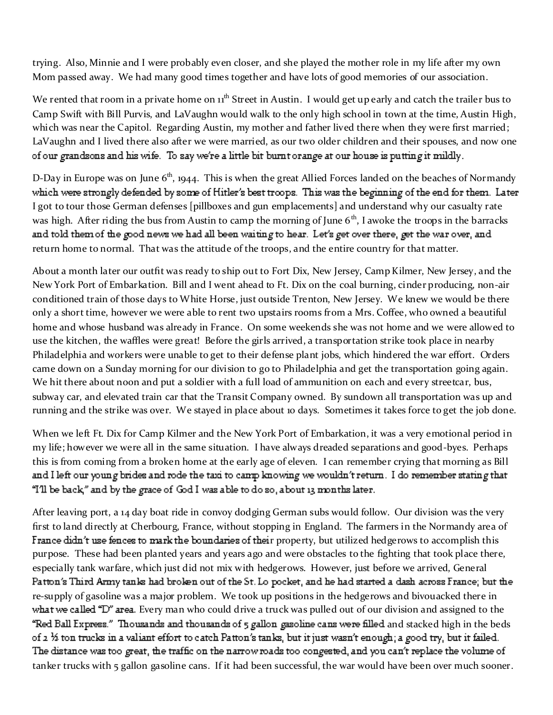trying. Also, Minnie and I were probably even closer, and she played the mother role in my life after my own Mom passed away. We had many good times together and have lots of good memories of our association.

We rented that room in a private home on  $11<sup>th</sup>$  Street in Austin. I would get up early and catch the trailer bus to Camp Swift with Bill Purvis, and LaVaughn would walk to the only high school in town at the time, Austin High, which was near the Capitol. Regarding Austin, my mother and father lived there when they were first married; LaVaughn and I lived there also after we were married, as our two older children and their spouses, and now one of our grandsons and his wife. To say we're a little bit burnt orange at our house is putting it mildly.

D-Day in Europe was on June  $6<sup>th</sup>$ , 1944. This is when the great Allied Forces landed on the beaches of Normandy which were strongly defended by some of Hitler's best troops. This was the beginning of the end for them. Later I got to tour those German defenses [pillboxes and gun emplacements] and understand why our casualty rate was high. After riding the bus from Austin to camp the morning of June  $6<sup>th</sup>$ , I awoke the troops in the barracks and told them of the good news we had all been waiting to hear. Let's get over there, get the war over, and return home to normal. That was the attitude of the troops, and the entire country for that matter.

About a month later our outfit was ready to ship out to Fort Dix, New Jersey, Camp Kilmer, New Jersey, and the New York Port of Embarkation. Bill and I went ahead to Ft. Dix on the coal burning, cinder producing, non-air conditioned train of those days to White Horse, just outside Trenton, New Jersey. We knew we would be there only a short time, however we were able to rent two upstairs rooms from a Mrs. Coffee, who owned a beautiful home and whose husband was already in France. On some weekends she was not home and we were allowed to use the kitchen, the waffles were great! Before the girls arrived, a transportation strike took place in nearby Philadelphia and workers were unable to get to their defense plant jobs, which hindered the war effort. Orders came down on a Sunday morning for our division to go to Philadelphia and get the transportation going again. We hit there about noon and put a soldier with a full load of ammunition on each and every streetcar, bus, subway car, and elevated train car that the Transit Company owned. By sundown all transportation was up and running and the strike was over. We stayed in place about 10 days. Sometimes it takes force to get the job done.

When we left Ft. Dix for Camp Kilmer and the New York Port of Embarkation, it was a very emotional period in my life; however we were all in the same situation. I have always dreaded separations and good-byes. Perhaps this is from coming from a broken home at the early age of eleven. I can remember crying that morning as Bill and I left our young brides and rode the taxi to camp knowing we wouldn't return. I do remember stating that "I'll be back," and by the grace of God I was able to do so, about 13 months later.

After leaving port, a 14 day boat ride in convoy dodging German subs would follow. Our division was the very first to land directly at Cherbourg, France, without stopping in England. The farmers in the Normandy area of France didn't use fences to mark the boundaries of their property, but utilized hedgerows to accomplish this purpose. These had been planted years and years ago and were obstacles to the fighting that took place there, especially tank warfare, which just did not mix with hedgerows. However, just before we arrived, General Patton's Third Army tanks had broken out of the St. Lo pocket, and he had started a dash across France; but the re-supply of gasoline was a major problem. We took up positions in the hedgerows and bivouacked there in what we called "D" area. Every man who could drive a truck was pulled out of our division and assigned to the "Red Ball Express." Thousands and thousands of 5 gallon gasoline cans were filled and stacked high in the beds of  $z$  % ton trucks in a valiant effort to catch Patton's tanks, but it just wasn't enough; a good try, but it failed. The distance was too great, the traffic on the narrow roads too congested, and you can't replace the volume of tanker trucks with 5 gallon gasoline cans. If it had been successful, the war would have been over much sooner.